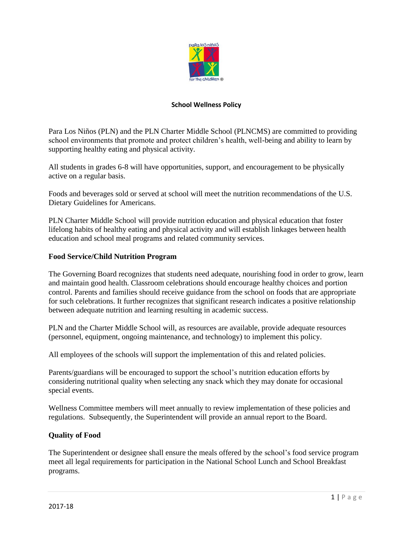

#### **School Wellness Policy**

Para Los Niños (PLN) and the PLN Charter Middle School (PLNCMS) are committed to providing school environments that promote and protect children's health, well-being and ability to learn by supporting healthy eating and physical activity.

All students in grades 6-8 will have opportunities, support, and encouragement to be physically active on a regular basis.

Foods and beverages sold or served at school will meet the nutrition recommendations of the U.S. Dietary Guidelines for Americans.

PLN Charter Middle School will provide nutrition education and physical education that foster lifelong habits of healthy eating and physical activity and will establish linkages between health education and school meal programs and related community services.

### **Food Service/Child Nutrition Program**

The Governing Board recognizes that students need adequate, nourishing food in order to grow, learn and maintain good health. Classroom celebrations should encourage healthy choices and portion control. Parents and families should receive guidance from the school on foods that are appropriate for such celebrations. It further recognizes that significant research indicates a positive relationship between adequate nutrition and learning resulting in academic success.

PLN and the Charter Middle School will, as resources are available, provide adequate resources (personnel, equipment, ongoing maintenance, and technology) to implement this policy.

All employees of the schools will support the implementation of this and related policies.

Parents/guardians will be encouraged to support the school's nutrition education efforts by considering nutritional quality when selecting any snack which they may donate for occasional special events.

Wellness Committee members will meet annually to review implementation of these policies and regulations. Subsequently, the Superintendent will provide an annual report to the Board.

### **Quality of Food**

The Superintendent or designee shall ensure the meals offered by the school's food service program meet all legal requirements for participation in the National School Lunch and School Breakfast programs.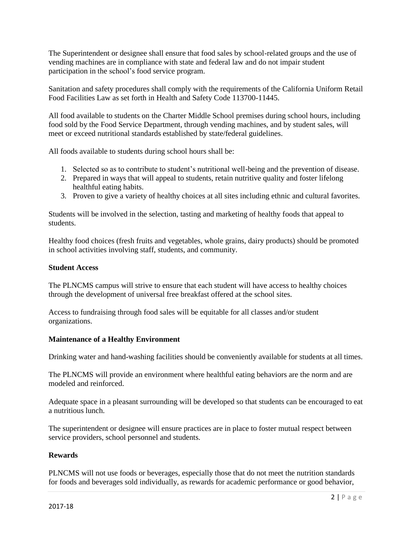The Superintendent or designee shall ensure that food sales by school-related groups and the use of vending machines are in compliance with state and federal law and do not impair student participation in the school's food service program.

Sanitation and safety procedures shall comply with the requirements of the California Uniform Retail Food Facilities Law as set forth in Health and Safety Code 113700-11445.

All food available to students on the Charter Middle School premises during school hours, including food sold by the Food Service Department, through vending machines, and by student sales, will meet or exceed nutritional standards established by state/federal guidelines.

All foods available to students during school hours shall be:

- 1. Selected so as to contribute to student's nutritional well-being and the prevention of disease.
- 2. Prepared in ways that will appeal to students, retain nutritive quality and foster lifelong healthful eating habits.
- 3. Proven to give a variety of healthy choices at all sites including ethnic and cultural favorites.

Students will be involved in the selection, tasting and marketing of healthy foods that appeal to students.

Healthy food choices (fresh fruits and vegetables, whole grains, dairy products) should be promoted in school activities involving staff, students, and community.

#### **Student Access**

The PLNCMS campus will strive to ensure that each student will have access to healthy choices through the development of universal free breakfast offered at the school sites.

Access to fundraising through food sales will be equitable for all classes and/or student organizations.

### **Maintenance of a Healthy Environment**

Drinking water and hand-washing facilities should be conveniently available for students at all times.

The PLNCMS will provide an environment where healthful eating behaviors are the norm and are modeled and reinforced.

Adequate space in a pleasant surrounding will be developed so that students can be encouraged to eat a nutritious lunch.

The superintendent or designee will ensure practices are in place to foster mutual respect between service providers, school personnel and students.

### **Rewards**

PLNCMS will not use foods or beverages, especially those that do not meet the nutrition standards for foods and beverages sold individually, as rewards for academic performance or good behavior,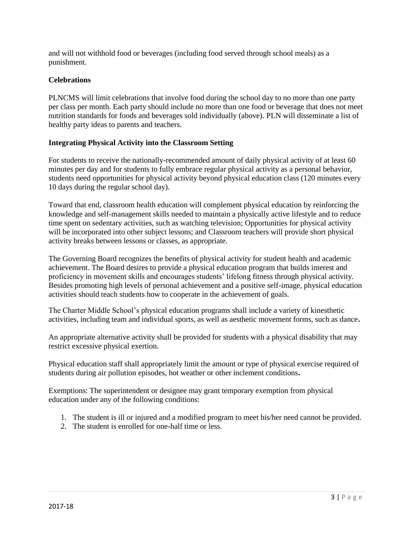and will not withhold food or beverages (including food served through school meals) as a punishment.

# **Celebrations**

PLNCMS will limit celebrations that involve food during the school day to no more than one party per class per month. Each party should include no more than one food or beverage that does not meet nutrition standards for foods and beverages sold individually (above). PLN will disseminate a list of healthy party ideas to parents and teachers.

# **Integrating Physical Activity into the Classroom Setting**

For students to receive the nationally-recommended amount of daily physical activity of at least 60 minutes per day and for students to fully embrace regular physical activity as a personal behavior, students need opportunities for physical activity beyond physical education class (120 minutes every 10 days during the regular school day).

Toward that end, classroom health education will complement physical education by reinforcing the knowledge and self-management skills needed to maintain a physically active lifestyle and to reduce time spent on sedentary activities, such as watching television; Opportunities for physical activity will be incorporated into other subject lessons; and Classroom teachers will provide short physical activity breaks between lessons or classes, as appropriate.

The Governing Board recognizes the benefits of physical activity for student health and academic achievement. The Board desires to provide a physical education program that builds interest and proficiency in movement skills and encourages students' lifelong fitness through physical activity. Besides promoting high levels of personal achievement and a positive self-image, physical education activities should teach students how to cooperate in the achievement of goals.

The Charter Middle School's physical education programs shall include a variety of kinesthetic activities, including team and individual sports, as well as aesthetic movement forms, such as dance**.** 

An appropriate alternative activity shall be provided for students with a physical disability that may restrict excessive physical exertion.

Physical education staff shall appropriately limit the amount or type of physical exercise required of students during air pollution episodes, hot weather or other inclement conditions**.** 

Exemptions: The superintendent or designee may grant temporary exemption from physical education under any of the following conditions:

- 1. The student is ill or injured and a modified program to meet his/her need cannot be provided.
- 2. The student is enrolled for one-half time or less.